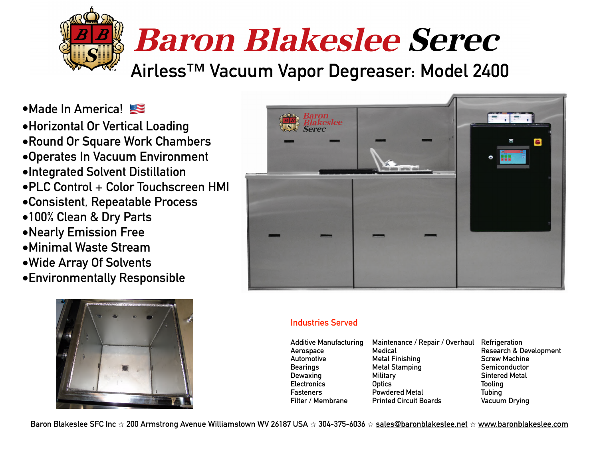

**•Made In America!** 

**•Horizontal Or Vertical Loading •Round Or Square Work Chambers •Operates In Vacuum Environment •Integrated Solvent Distillation •PLC Control + Color Touchscreen HMI •Consistent, Repeatable Process •100% Clean & Dry Parts •Nearly Emission Free •Minimal Waste Stream •Wide Array Of Solvents** 

**•Environmentally Responsible**





### **Industries Served**

| Additive Manufacturing | Maintenance / Repair / Overhaul Refrigeration |                                   |
|------------------------|-----------------------------------------------|-----------------------------------|
| Aerospace              | Medical                                       | <b>Research &amp; Development</b> |
| Automotive             | <b>Metal Finishing</b>                        | <b>Screw Machine</b>              |
| Bearings               | <b>Metal Stamping</b>                         | Semiconductor                     |
| Dewaxing               | Military                                      | <b>Sintered Metal</b>             |
| <b>Electronics</b>     | <b>Optics</b>                                 | <b>Tooling</b>                    |
| Fasteners              | <b>Powdered Metal</b>                         | <b>Tubing</b>                     |
| Filter / Membrane      | <b>Printed Circuit Boards</b>                 | <b>Vacuum Drying</b>              |

**Baron Blakeslee SFC Inc** ⭐ **200 Armstrong Avenue Williamstown WV 26187 USA** ⭐ **304-375-6036** ⭐ **[sales@baronblakeslee.net](mailto:sales@baronblakeslee.net)** ⭐ **[www.baronblakeslee.com](http://www.baronblakeslee.com)**